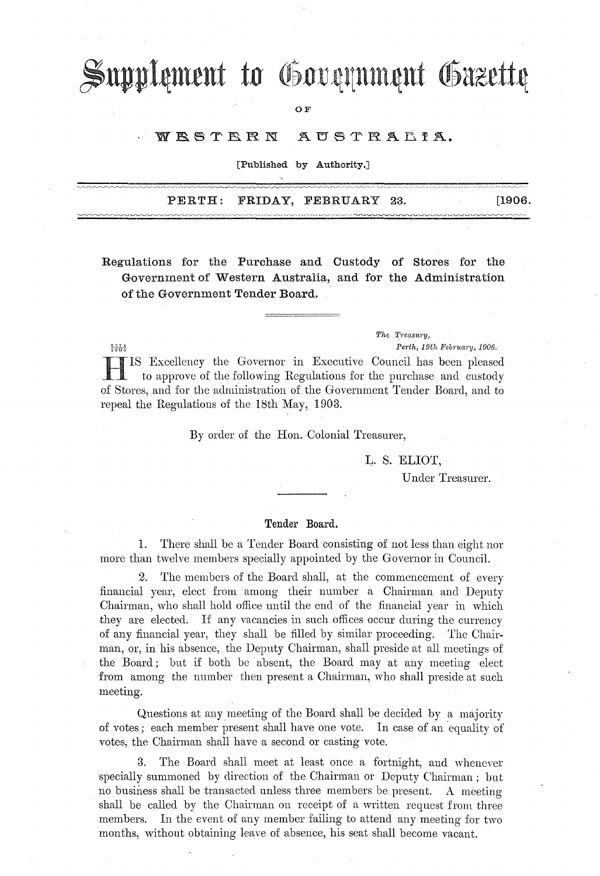# Supplement to Government Gazette

OF

#### WESTERN AUSTRALIA.

[Published by Authority.]

|  | PERTH: FRIDAY, FEBRUARY 23. | and the control of the state of | [1906. |
|--|-----------------------------|---------------------------------|--------|
|  |                             |                                 |        |

Regulations for the Purchase and Custody of Stores for the Government of Western Australia, and for the Administration of the Government Tender Board.

> The Treasury, Perth, 19th February, 1906.

IS Excellency the Governor in Executive Council has been pleased to approve of the following Regulations for the purchase and custody of Stores, and for the administration of the Government Tender Board, and to repeal the Regulations of the 18th May, 1903.

 $\frac{2374}{1005}$ 

By order of the Hon. Colonial Treasurer,

L. S. ELIOT,

Under Treasurer.

### Tender Board.

1. There shall be a Tender Board consisting of not less than eight nor more than twelve members specially appointed by the Governor in Council.

2. The members of the Board shall, at the commencement of every financial year, elect from among their number a Chairman and Deputy Chairman, who shall hold office until the end of the financial year in which they are elected. If any vacancies in such offices occur during the currency of any financial year, they shall be filled by similar proceeding. The Chairman, or, in his absence, the Deputy Chairman, shall preside at all meetings of the Board; but if both be absent, the Board may at any meeting elect from among the number then present a Chairman, who shall preside at such meeting.

Questions at any meeting of the Board shall be decided by a majority of votes; each member present shall have one vote. In case of an equality of votes, the Chairman shall have a second or casting vote.

3. The Board shall meet at least once a fortnight, and whenever specially summoned by direction of the Chairman or Deputy Chairman; but . no business shall be transacted unless three members be present. A meeting shall be called by the Chairman on receipt of a written request from three members. In the event of any member failing to attend any meeting for two months, without obtaining leave of absence, his seat shall become vacant.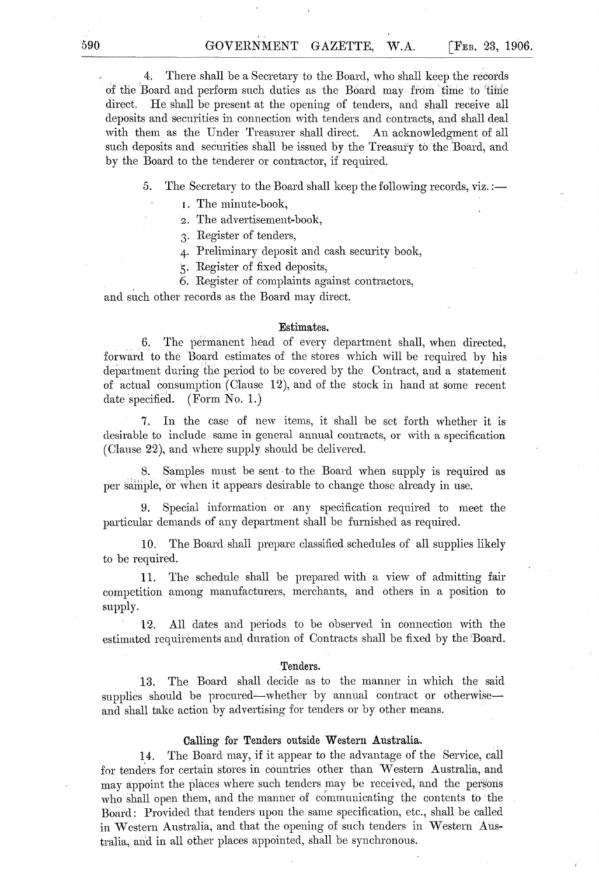4. There shall be a Secretary to the Board, who shall keep the recotds of the Board and perform such duties as the Board may from time to time direct. He shall be present at the opening of tenders, and shall receive all deposits and securities in connection with tenders and contracts, and shall deal with them as the Under Treasurer shall direct. An acknowledgment of all such deposits and securities shall be issued by the Treasury to the Board, and by the Board to the tenderer or contractor, if required.

5. The Secretary to the Board shall keep the following records, viz.:—

I. The minute-book,

2. THe advertisement-book,

3. Register of tenders,

4- Preliminary deposit and cash security book,

5. Register of fixed deposits,

6. Register of complaints against contractors,

and such other records as the Board may direct.

#### Estimates.

6. The permanent head of every department shall, when directed, forward to the Board estimates of the stores which will be required by his department during the period to be covered by the Contract, and a statement of actual consumption (Clause 12), and of the stock in hand at some recent date specified. (Form No. 1.)

7. In the case of new items, it shall be set forth whether it is desirable to include same in general annual contracts, or with a specification (Clause 22), and where supply should be delivered.

8. Samples must be sent, to the Board when supply is required as per sample, or when it appears desirable to change those already in use.

9. Special information or any specification required to meet the particular demands of any department shall be furnished as required.

10. The Board shall prepare classified schedules of all supplies likely to be required.

11. The schedule shall be prepared with a view of admitting fair competition among manufacturers, merchants, and others in a position to supply.

12. All dates and petiods to be observed in connection with the estimated requirements and duration of Contracts shall be fixed by the 'Board.

#### . Tenders.

13. The Board shall decide as to the manner in which the said supplies should be procured-whether by annual contract or otherwiseand shall take action by advertising for tenders or by other means.

#### Calling for Tenders outside Western Australia.

14. The Board may, if it appear to the advantage of the Service, call for tenders for certain stores in countries other than Western Australia, and may appoint the places where such tenders may be received, and the persons who shall open them, and the manner of communicating the contents to the Board: Provided that tenders upon the same specification, etc., shall be called in Western Australia, and that the opening of such tenders in Western Australia, and in all other places appointed, shall be synchronous.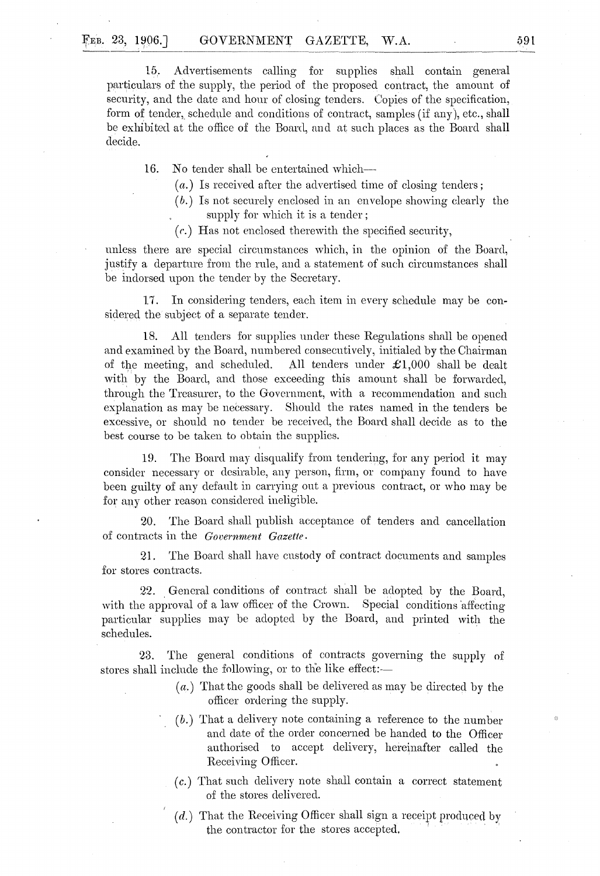15. Advertisements calling for supplies shall contain general particulars of the supply, the period of the proposed contract, the amount of security, and the date and hour of closing tenders. Copies of the specification, form of tender, schedule and conditions of contract, samples (if any), etc., shall be exhibited at the office of the Board, and at such places as the Board shall decide.

16. No tender shall be entertained which--

(a.) Is received after the advertised time of closing tenders;

- $(b.)$  Is not securely enclosed in an envelope showing clearly the supply for which it is a tender;
- *(c.)* Has not enclosed therewith the specified secmity,

unless there are special circumstances which, in the opinion of the Board, justify a departure from the rule, and a statement of such circumstances shall be indorsed upon the tender by the Secretary.

17. In considering tenders, each item in every schedule may be considered the subject of a separate tender.

18. All tenders for supplies under these Regulations shall be opened and examined by the Board, numbered consecutively, initialed by the Chairman of the meeting, and scheduled. All tenders under  $\pounds1,000$  shall be dealt with by the Board, and those exceeding this amount shall be forwarded, through the Treasurer, to the Government, with a recommendation and snch explanation as may be necessary. Should the rates named in the tenders be excessive, or should no tender be received, the Board shall decide as to the best course to be taken to obtain the supplies.

19. The Board may disqualify from tendering, for any period it may consider necessary or desirable, any person, firm, or company found to have been guilty of any default in carrying ont a previous contract, or who may be for any other reason considered ineligible.

20. The Board shall publish acceptance of tenders and cancellation of contracts in the Government Gazette.

21. The Board shall have custody of contract documents and samples for stores contracts.

22. General conditions of contract shall be adopted by the Board, with the approval of a law officer of the Crown. Special conditions affecting particular supplies may be adopted by the Board, and printed with the schedules.

23. The general conditions of contracts governing the supply of stores shall include the following, or to the like effect:-

- (a.) That the goods shall be delivered as may be directed by the officer ordering the supply.
- $(b.)$  That a delivery note containing a reference to the number and date of the order concerned be handed to the Officer authorised to accept delivery, hereinafter called the Receiving Officer.
- *(c.)* That such delivery note shall contain a correct statement of the stores delivered.
- $(d.)$  That the Receiving Officer shall sign a receipt produced by the contractor for the stores accepted.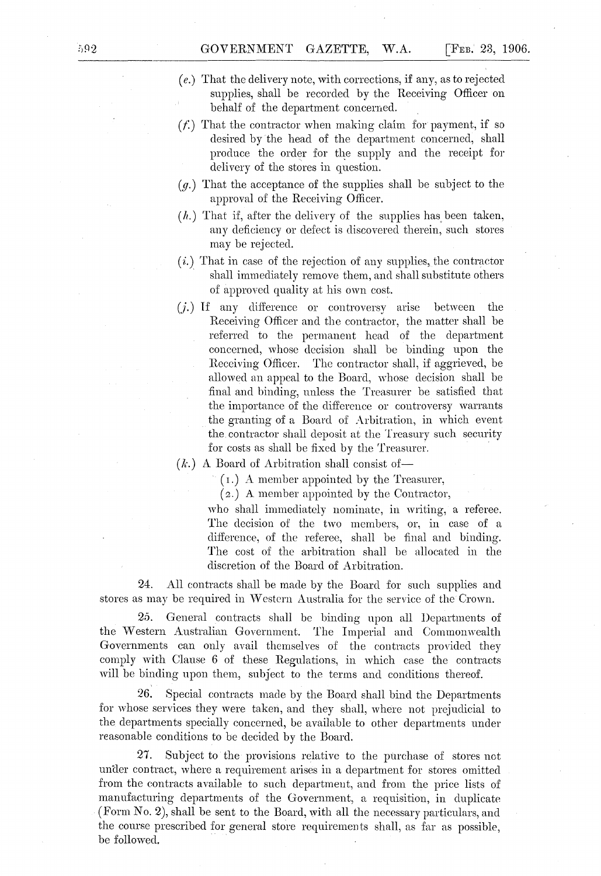- (*e.*) That the delivery note, with corrections, if any, as to rejected supplies, shall be recorded by the Receiving Officer on behalf of the department concerned.
- $(f.)$  That the contractor when making claim for payment, if so desired by the head of the department concerned, shall produce the order for the supply and the receipt for delivery of the stores in question.
- (g.) That the acceptance of the supplies shall be subject to the approval of the Receiving Officer.
- $(h.)$  That if, after the delivery of the supplies has been taken, any deficiency or defect is discovered therein, such stores may be rejected.
- $(i.)$  That in case of the rejection of any supplies, the contractor shall immediately remove them, and shall substitute others of approved quality at his own cost.
- (J.) If any difference or controversy arise between the Receiving Officer and the contractor, the matter shall be referred to the permanent head of the department concerned, whose decision shall be binding upon the Receiving Officer. The contractor shall, if aggrieved, be allowed an appeal to the Board, whose decision shall be final and binding, unless the Treasurer be satisfied that the importance of the difference or controversy warrants the granting of a Board of Arbitration, in which event the. contractor shall deposit at the Treasury such security for costs as shall be fixed by the Treasurer.

# $(k.)$  A Board of Arbitration shall consist of-

 $(1.)$  A member appointed by the Treasurer,

(2.) A member appointed by the Contractor,

who shall immediately nominate, in writing, a referee. The decision of the two members, or, in case of a difference, of the referee, shall be final and binding. The cost of the arbitration shall be allocated in the discretion of the Board of Arbitration.

24. All contracts shall be made by the Board for such supplies and stores as may be required in Western Australia for the service of the Crown.

25. General contracts shall be binding upon all Departments of the Western Australian Government. The Imperial and Commonwealth Governments can only avail themselves of the contracts provided they comply with Clause 6 of these Regulations, in which case the contracts will be binding upon them, subject to the terms and conditions thereof.

26. Special contracts made by the Board shall bind the Departments for whose services they were taken, and they shall, where not prejudicial to the departments specially concerned, be available to other departments under reasonable conditions to be decided by the Board.

27. Subject to the provisions relative to the purchase of stores not under contract, where a requirement arises in a department for stores omitted from the contracts available to such departmeut, and from the price lists of manufacturing departments of the Government, a requisition, in duplicate (Form No.2), shall be sent to the Board, with all the necessary particulars, and the course prescribed for general store requirements shall, as far as possible, be followed,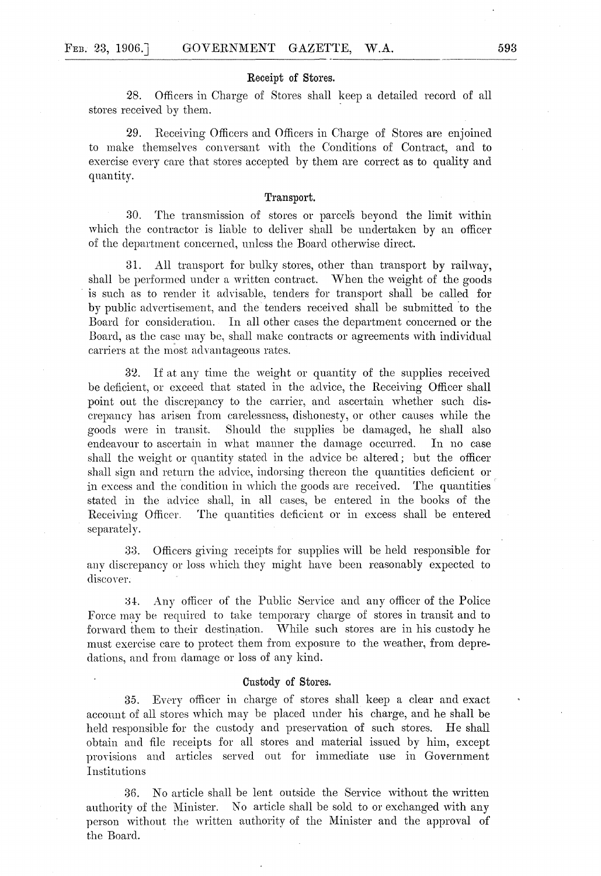#### Receipt of Stores.

28. Officers in Charge of Stores shall keep a detailed record of all stores received by them.

29. Receiving Officers and Officers in Charge of Stores are enjoined to make themselves conversant with the Conditions of Contract, and to exercise every care that stores accepted by them are correct as to quality and quantity.

#### Transport.

30. The transmission of stores or parcels beyond the limit within which the contractor is liable to deliver shall be undertaken by an officer of the department concerned, unless the Board otherwise direct.

31. All transport for bulky stores, other than transport by railway, shall be performed under a written contract. When the weight of the goods is such as to render it advisable, tenders for transport shall be called for by public advertisement, and the tenders received shall be submitted to the Board for consideration. In all other cases the department concerned or the Board, as the case may be, shall make contracts or agreements with individual carriers at the most advantageous rates.

32. If at any time the weight or quantity of the supplies received be deficient, or exceed that stated in the advice, the Receiving Officer shall point out the discrepancy to the carrier, and ascertain whether such discrepancy has arisen from carelessness, dishonesty, or other causes while the goods were in transit. Should the supplies be damaged, he shall also endeavour to ascertain in what manner the damage occurred. In no case shall the weight or quantity stated in the advice be altered; but the officer shall sign and return the advice, indorsing thereon the quantities deficient or in excess and the condition in which the goods are received. The quantities stated in the advice shall, in all cases, be entered in the books of the Receiving Officer. The quantities deficient or in excess shall be entered separately.

38. Officers giving receipts for supplies will be held responsible for any discrepancy or loss which they might have been reasonably expected to discover.

34. Any officer of the Public Service and any officer of the Police Force mav be required to take temporary charge of stores in transit and to forward them to their destination. While such stores are in his custody he must exercise care to protect them from exposure to the weather, from depredations, and from damage or loss of any kind.

#### Custody of Stores.

35. Every officer in charge of stores shall keep a clear and exact account of all stores which may be placed under his charge, and he shall be held responsible for the custody and preservation of such stores. He shall obtain and file receipts for all stores and material issned by him, except provisions and articles served out for immediate use in Government **Institutions** 

36. No article shall be lent outside the Service without the written authority of the Minister. No article shall be sold to or exchanged with any person without the written authority of the Minister and the approval of the Board.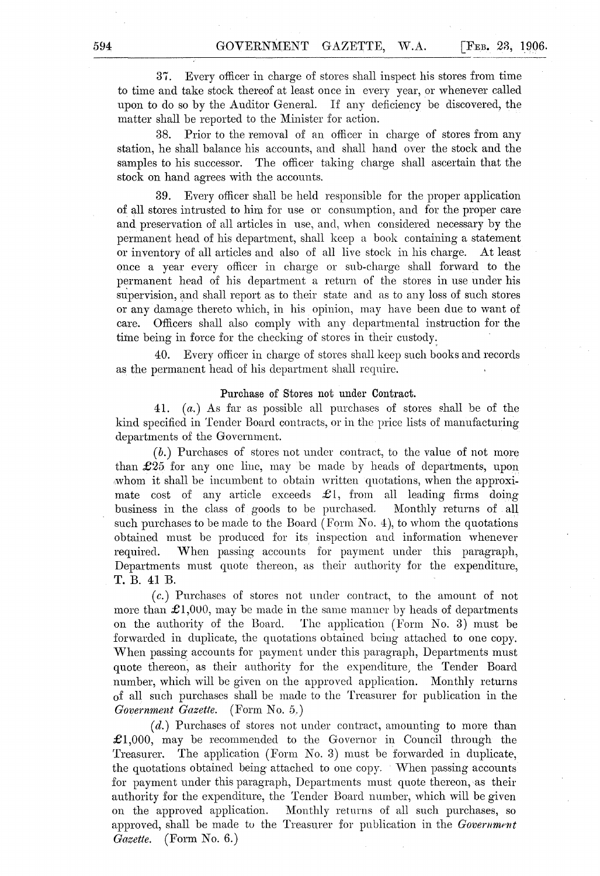37. Every officer in charge of stores shall inspect his stores from time to time and take stock thereof at least once in every year, or whenever called upon to do so by the Auditor General. If any deficiency be discovered, the matter shall be reported to the Minister for action.

3S. Prior to the removal of an officer in charge of stores from any station, he shall balance his accounts, and shall hand over the stock and the samples to his successor. The officer taking charge shall ascertain that the stock on hand agrees with the accounts.

39. Every officer shall be held responsible for the proper application of all stores intrusted to him for use or consumption, and for the proper care and preservation of all articles in use, and, when considered necessary by the permanent head of his department, shall keep a book containing a statement or inventory of all articles and also of all live stock in his charge. At least once a year every officer in charge or sub-charge shall forward to the permanent head of his department a return of the stores in use under his supervision, and shall report as to their state and as to any loss of such stores or any damage thereto which, in his opinion, may have been due to want of care. Officers shall also comply with any departmental instruction for the time being in force for the checking of stores in their custody:

40. Every officer in charge of stores shall keep such books and records as the permanent head of his department shall require.

#### Purchase of Stores not under Contract.

41. ( *a.)* As far as possible all purchases of stores shall be of the kind specified in Tender Board contracts, or in the price lists of manufacturing departments of the Government.

(b.) Purchases of stores not under contract, to the value of not more than  $£25$  for any one line, may be made by heads of departments, upon whom it shall be incumbent to obtain written quotations, when the approximate cost of any article exceeds  $\mathcal{L}1$ , from all leading firms doing business in the class of goods to be purchased, Monthly returns of all such purchases to be made to the Board (Form No. 4), to whom the quotations obtained must be produced for its inspection and information whenever required. When passing accounts for payment under this paragraph, Departments must quote thereon, as their authority for the expenditure, T. B. 41 B.

( *c.)* Purchases of stores not under con tract, to the amount of not more than  $\pounds1,000$ , may be made in the same manner by heads of departments on the authority of the Board. The application (Form No.3) must be forwarded in duplicate, the quotations obtained being attached to one copy. When passing accounts for payment under this paragraph, Departments must quote thereon, as their authority for the expenditure; the Tender Board number, which will be given on the approved application. Monthly returns of all such purchases shall be made to the Treasurer for publication in the *Government Gazette.* (Form No. 5,)

(d.) Purchases of stores not under contract, amounting to more than  $\pounds$ 1,000, may be recommended to the Governor in Council through the Treasurer. The application (Form No.3) must be forwarded in duplicate, the quotations obtained being' attached to one copy. 'Vhen passing accounts for payment under this paragraph, Departments must quote thereon, as their authority for the expenditure, the Tender Board number, which will be given on the approved application. Monthly returns of all such purchases, so approved, shall be made to the Treasurer for publication in the *Government Gazette.* (Form No.6.)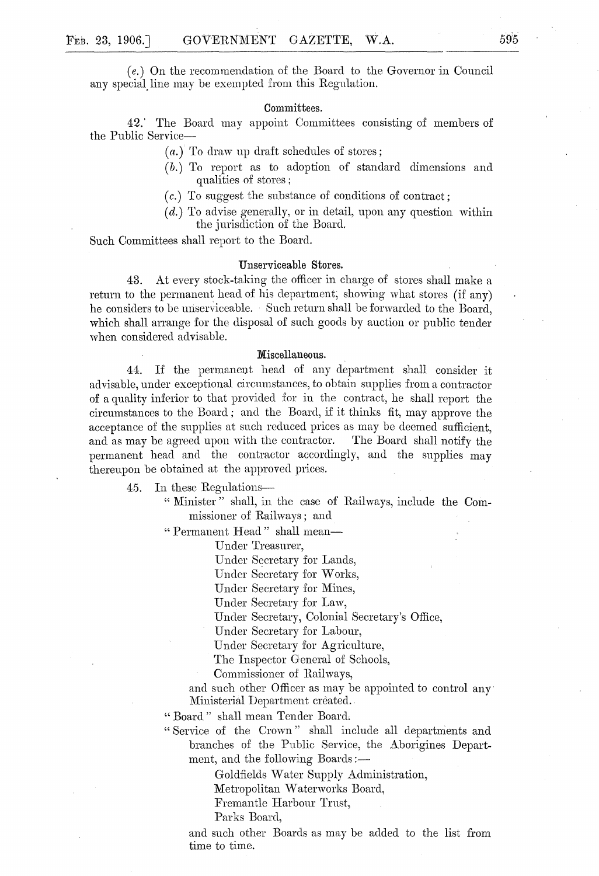*(e.)* On the recommendation of the Board to the Governor in Council any special line may be exempted from this Regulation.

#### Committees.

42.' The Board may appoint Committees consisting of members of the Public Service-

 $(a.)$  To draw up draft schedules of stores;

- (b.) To report as to adoption of standard dimensions and qualities of stores;
- ( *c.)* To suggest the substance of conditions of contract;
- $(d.)$  To advise generally, or in detail, upon any question within the jurisdiction of the Board.

Such Committees shall report to the Board.

### Unserviceable Stores.

43. At every stock-taking the officer in charge of stores shall make a return to the permanent head of his department; showing what stores (if any) he considers to be unserviceable. Such return shall be forwarded to the Board, which shall arrange for the disposal of such goods by auction or public tender when considered advisable.

## Miscellaneous.

44. If the permanent head of any department shall consider it advisable, under exceptional circumstances, to obtain supplies from a contractor of a quality inferior to that provided for in the contract, he shall report the circumstances to the Board; and the Board, if it thinks fit, may approve the acceptance of the supplies at such reduced prices as may be deemed sufficient, and as may be agreed upon with the contractor. The Board shall notify the permanent head and the contractor accordingly, and the supplies may thereupon be obtained at the approved prices.

45. In these Regulations-

" Minister" shall, in the case of Railways, include the Commissioner of Railways; and

"Permanent Head" shall mean-

Under Treasurer,

Under Secretary for Lands,

Under Secretary for Works,

Under Secretary for Mines,

Under Secretary for Law,

Under Secretary, Colonial Secretary's Office,

Under Secretary for Labour,

Under Secretary for Agriculture,

The Inspector General of Schools,

Commissioner of Railways,

and such other Officer as may be appointed to control any· Ministerial Department created.

" Board" shall mean Tender Board,

"Service of the Crown" shall include all departments and branches of the Public Service, the Aborigines Department, and the following Boards:-

Goldfields \Vater Supply Administration,

Metropolitan Waterworks Board,

Fremantle Harbour Trust,

Parks Board,

and such other Boards as may be added to the list from time to time.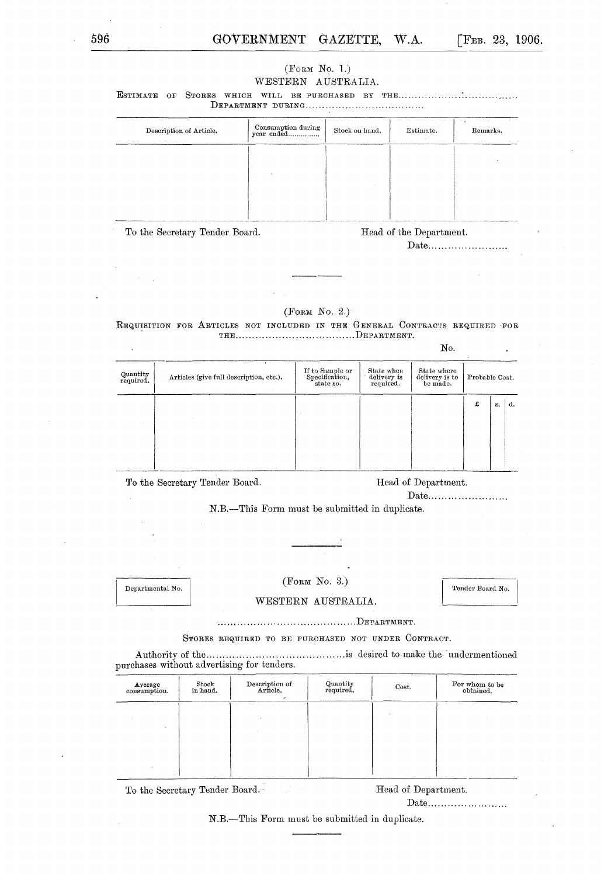# 596 **GOVERNMENT GAZETTE, W.A.** [FEB. 23, 1906.

| (F <sub>ORM</sub> No. 1.) |
|---------------------------|
| WESTERN AUSTRALIA.        |

ESTIMATE OF STORES WHICH WILL BE PURCHASED BY THE ................... : ........ ,. '" ." DEPARTlIIENT DURING .... " '" .... , ................... '"

| Description of Article.        | Consumption during<br>year ended | Stock on hand. | Estimate.               | Remarks. |
|--------------------------------|----------------------------------|----------------|-------------------------|----------|
|                                |                                  |                |                         |          |
|                                |                                  |                |                         |          |
|                                |                                  |                |                         |          |
|                                |                                  |                |                         |          |
| To the Secretary Tender Board. |                                  |                | Head of the Department. |          |

Date..........................

No.

 $($ FORM No. 2. $)$ 

REQUISITION FOR ARTICLES NOT INCLUDED IN THE GENERAL CONTRACTS REQUIRED FOR THE ..................................... DEPARTlIIENT.

| Quantity<br>required. | Articles (give full description, etc.). | If to Sample or<br>Specification,<br>state so. | State when<br>delivery is<br>required. | State where<br>delivery is to<br>be made. | Probable Cost. |    |    |
|-----------------------|-----------------------------------------|------------------------------------------------|----------------------------------------|-------------------------------------------|----------------|----|----|
|                       |                                         |                                                |                                        |                                           | £              | s. | d. |
|                       |                                         |                                                |                                        |                                           |                |    |    |

To the Secretary Tender Board. Head of Department.

Date.........................

N.B.-This Form must be submitted in duplicate.

Departmental No.

(FORM No.3.)

Tender Board No.

WESTERN AUSTRALIA.

... ••• . .. . , ............................... DE PARTlIIE NT .

STORES REQUIRED TO BE PURCHASED NOT UNDER CONTRACT.

A uthority of the ................ , ................. , ...... .is desired to make the' undermentioned purchases without advertising for tenders.

| Average<br>consumption. | Stock<br>in hand. | Description of<br>Article. | Quantity<br>required. | Cost. | For whom to be<br>obtained. |
|-------------------------|-------------------|----------------------------|-----------------------|-------|-----------------------------|
|                         |                   |                            |                       |       |                             |
|                         |                   |                            |                       |       |                             |
| <b>STATE</b>            |                   |                            |                       |       |                             |

To the Secretary Tender Board. Head of Department.

Date ..............................

N.B.-This Form must be submitted in duplicate.